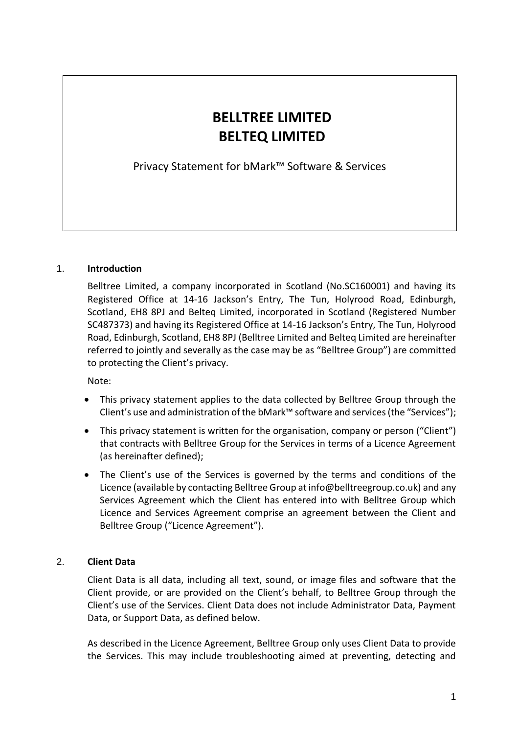# **BELLTREE LIMITED BELTEQ LIMITED**

Privacy Statement for bMark™ Software & Services

## 1. **Introduction**

Belltree Limited, a company incorporated in Scotland (No.SC160001) and having its Registered Office at 14-16 Jackson's Entry, The Tun, Holyrood Road, Edinburgh, Scotland, EH8 8PJ and Belteq Limited, incorporated in Scotland (Registered Number SC487373) and having its Registered Office at 14-16 Jackson's Entry, The Tun, Holyrood Road, Edinburgh, Scotland, EH8 8PJ (Belltree Limited and Belteq Limited are hereinafter referred to jointly and severally as the case may be as "Belltree Group") are committed to protecting the Client's privacy.

Note:

- This privacy statement applies to the data collected by Belltree Group through the Client's use and administration of the bMark™ software and services (the "Services");
- This privacy statement is written for the organisation, company or person ("Client") that contracts with Belltree Group for the Services in terms of a Licence Agreement (as hereinafter defined);
- The Client's use of the Services is governed by the terms and conditions of the Licence (available by contacting Belltree Group at info@belltreegroup.co.uk) and any Services Agreement which the Client has entered into with Belltree Group which Licence and Services Agreement comprise an agreement between the Client and Belltree Group ("Licence Agreement").

## 2. **Client Data**

Client Data is all data, including all text, sound, or image files and software that the Client provide, or are provided on the Client's behalf, to Belltree Group through the Client's use of the Services. Client Data does not include Administrator Data, Payment Data, or Support Data, as defined below.

As described in the Licence Agreement, Belltree Group only uses Client Data to provide the Services. This may include troubleshooting aimed at preventing, detecting and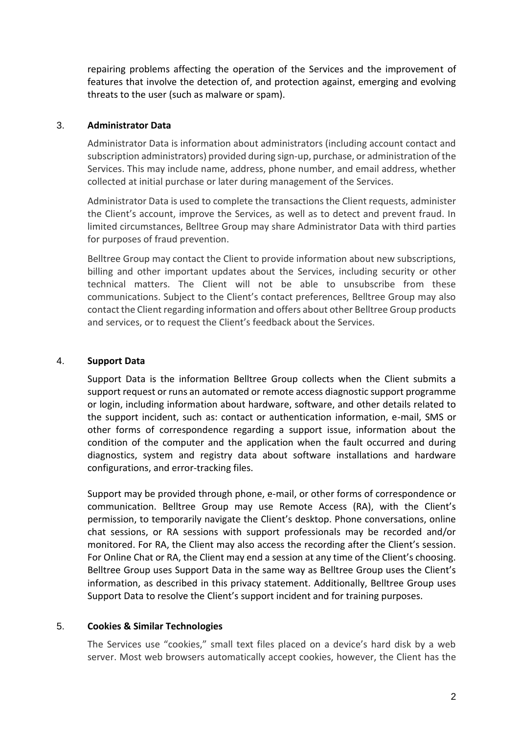repairing problems affecting the operation of the Services and the improvement of features that involve the detection of, and protection against, emerging and evolving threats to the user (such as malware or spam).

## 3. **Administrator Data**

Administrator Data is information about administrators (including account contact and subscription administrators) provided during sign-up, purchase, or administration of the Services. This may include name, address, phone number, and email address, whether collected at initial purchase or later during management of the Services.

Administrator Data is used to complete the transactions the Client requests, administer the Client's account, improve the Services, as well as to detect and prevent fraud. In limited circumstances, Belltree Group may share Administrator Data with third parties for purposes of fraud prevention.

Belltree Group may contact the Client to provide information about new subscriptions, billing and other important updates about the Services, including security or other technical matters. The Client will not be able to unsubscribe from these communications. Subject to the Client's contact preferences, Belltree Group may also contact the Client regarding information and offers about other Belltree Group products and services, or to request the Client's feedback about the Services.

#### 4. **Support Data**

Support Data is the information Belltree Group collects when the Client submits a support request or runs an automated or remote access diagnostic support programme or login, including information about hardware, software, and other details related to the support incident, such as: contact or authentication information, e-mail, SMS or other forms of correspondence regarding a support issue, information about the condition of the computer and the application when the fault occurred and during diagnostics, system and registry data about software installations and hardware configurations, and error-tracking files.

Support may be provided through phone, e-mail, or other forms of correspondence or communication. Belltree Group may use Remote Access (RA), with the Client's permission, to temporarily navigate the Client's desktop. Phone conversations, online chat sessions, or RA sessions with support professionals may be recorded and/or monitored. For RA, the Client may also access the recording after the Client's session. For Online Chat or RA, the Client may end a session at any time of the Client's choosing. Belltree Group uses Support Data in the same way as Belltree Group uses the Client's information, as described in this privacy statement. Additionally, Belltree Group uses Support Data to resolve the Client's support incident and for training purposes.

#### 5. **Cookies & Similar Technologies**

The Services use "cookies," small text files placed on a device's hard disk by a web server. Most web browsers automatically accept cookies, however, the Client has the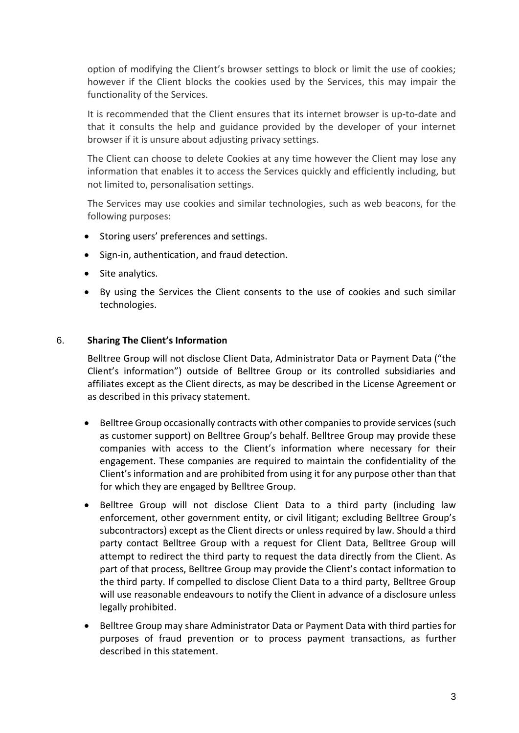option of modifying the Client's browser settings to block or limit the use of cookies; however if the Client blocks the cookies used by the Services, this may impair the functionality of the Services.

It is recommended that the Client ensures that its internet browser is up-to-date and that it consults the help and guidance provided by the developer of your internet browser if it is unsure about adjusting privacy settings.

The Client can choose to delete Cookies at any time however the Client may lose any information that enables it to access the Services quickly and efficiently including, but not limited to, personalisation settings.

The Services may use cookies and similar technologies, such as web beacons, for the following purposes:

- Storing users' preferences and settings.
- Sign-in, authentication, and fraud detection.
- Site analytics.
- By using the Services the Client consents to the use of cookies and such similar technologies.

## 6. **Sharing The Client's Information**

Belltree Group will not disclose Client Data, Administrator Data or Payment Data ("the Client's information") outside of Belltree Group or its controlled subsidiaries and affiliates except as the Client directs, as may be described in the License Agreement or as described in this privacy statement.

- Belltree Group occasionally contracts with other companies to provide services (such as customer support) on Belltree Group's behalf. Belltree Group may provide these companies with access to the Client's information where necessary for their engagement. These companies are required to maintain the confidentiality of the Client's information and are prohibited from using it for any purpose other than that for which they are engaged by Belltree Group.
- Belltree Group will not disclose Client Data to a third party (including law enforcement, other government entity, or civil litigant; excluding Belltree Group's subcontractors) except as the Client directs or unless required by law. Should a third party contact Belltree Group with a request for Client Data, Belltree Group will attempt to redirect the third party to request the data directly from the Client. As part of that process, Belltree Group may provide the Client's contact information to the third party. If compelled to disclose Client Data to a third party, Belltree Group will use reasonable endeavours to notify the Client in advance of a disclosure unless legally prohibited.
- Belltree Group may share Administrator Data or Payment Data with third parties for purposes of fraud prevention or to process payment transactions, as further described in this statement.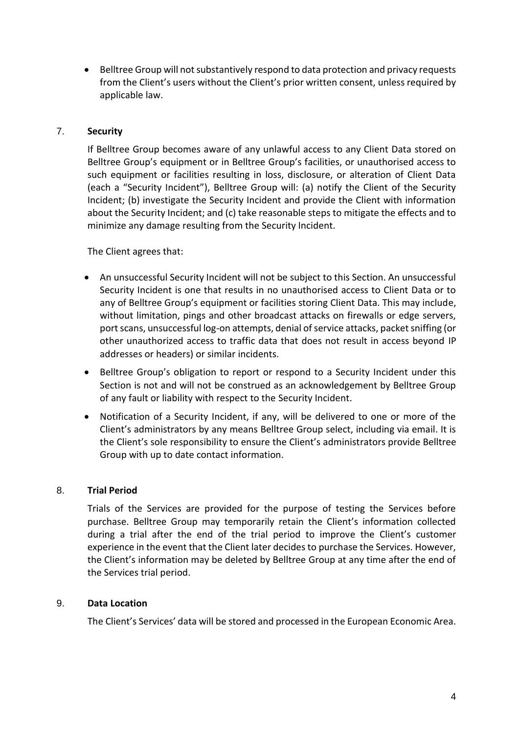• Belltree Group will not substantively respond to data protection and privacy requests from the Client's users without the Client's prior written consent, unless required by applicable law.

## 7. **Security**

If Belltree Group becomes aware of any unlawful access to any Client Data stored on Belltree Group's equipment or in Belltree Group's facilities, or unauthorised access to such equipment or facilities resulting in loss, disclosure, or alteration of Client Data (each a "Security Incident"), Belltree Group will: (a) notify the Client of the Security Incident; (b) investigate the Security Incident and provide the Client with information about the Security Incident; and (c) take reasonable steps to mitigate the effects and to minimize any damage resulting from the Security Incident.

The Client agrees that:

- An unsuccessful Security Incident will not be subject to this Section. An unsuccessful Security Incident is one that results in no unauthorised access to Client Data or to any of Belltree Group's equipment or facilities storing Client Data. This may include, without limitation, pings and other broadcast attacks on firewalls or edge servers, port scans, unsuccessful log-on attempts, denial of service attacks, packet sniffing (or other unauthorized access to traffic data that does not result in access beyond IP addresses or headers) or similar incidents.
- Belltree Group's obligation to report or respond to a Security Incident under this Section is not and will not be construed as an acknowledgement by Belltree Group of any fault or liability with respect to the Security Incident.
- Notification of a Security Incident, if any, will be delivered to one or more of the Client's administrators by any means Belltree Group select, including via email. It is the Client's sole responsibility to ensure the Client's administrators provide Belltree Group with up to date contact information.

#### 8. **Trial Period**

Trials of the Services are provided for the purpose of testing the Services before purchase. Belltree Group may temporarily retain the Client's information collected during a trial after the end of the trial period to improve the Client's customer experience in the event that the Client later decides to purchase the Services. However, the Client's information may be deleted by Belltree Group at any time after the end of the Services trial period.

#### 9. **Data Location**

The Client's Services' data will be stored and processed in the European Economic Area.